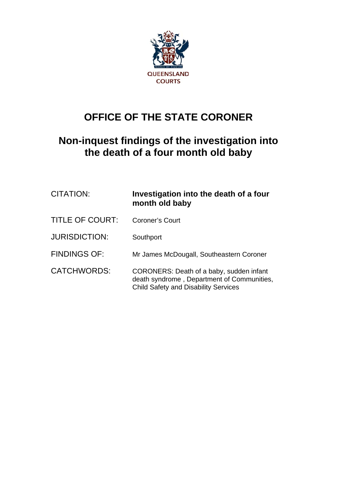

## **OFFICE OF THE STATE CORONER**

## **Non-inquest findings of the investigation into the death of a four month old baby**

| CITATION:            | Investigation into the death of a four<br>month old baby                                                                              |
|----------------------|---------------------------------------------------------------------------------------------------------------------------------------|
| TITLE OF COURT:      | <b>Coroner's Court</b>                                                                                                                |
| <b>JURISDICTION:</b> | Southport                                                                                                                             |
| <b>FINDINGS OF:</b>  | Mr James McDougall, Southeastern Coroner                                                                                              |
| CATCHWORDS:          | CORONERS: Death of a baby, sudden infant<br>death syndrome, Department of Communities,<br><b>Child Safety and Disability Services</b> |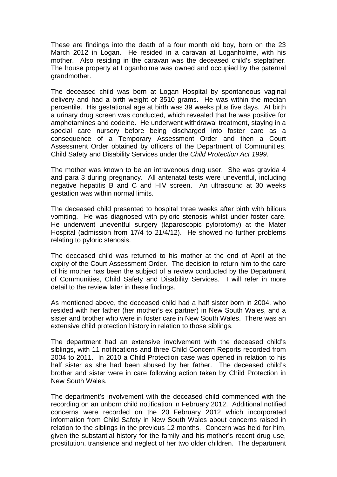These are findings into the death of a four month old boy, born on the 23 March 2012 in Logan. He resided in a caravan at Loganholme, with his mother. Also residing in the caravan was the deceased child's stepfather. The house property at Loganholme was owned and occupied by the paternal grandmother.

The deceased child was born at Logan Hospital by spontaneous vaginal delivery and had a birth weight of 3510 grams. He was within the median percentile. His gestational age at birth was 39 weeks plus five days. At birth a urinary drug screen was conducted, which revealed that he was positive for amphetamines and codeine. He underwent withdrawal treatment, staying in a special care nursery before being discharged into foster care as a consequence of a Temporary Assessment Order and then a Court Assessment Order obtained by officers of the Department of Communities, Child Safety and Disability Services under the *Child Protection Act 1999*.

The mother was known to be an intravenous drug user. She was gravida 4 and para 3 during pregnancy. All antenatal tests were uneventful, including negative hepatitis B and C and HIV screen. An ultrasound at 30 weeks gestation was within normal limits.

The deceased child presented to hospital three weeks after birth with bilious vomiting. He was diagnosed with pyloric stenosis whilst under foster care. He underwent uneventful surgery (laparoscopic pylorotomy) at the Mater Hospital (admission from 17/4 to 21/4/12). He showed no further problems relating to pyloric stenosis.

The deceased child was returned to his mother at the end of April at the expiry of the Court Assessment Order. The decision to return him to the care of his mother has been the subject of a review conducted by the Department of Communities, Child Safety and Disability Services. I will refer in more detail to the review later in these findings.

As mentioned above, the deceased child had a half sister born in 2004, who resided with her father (her mother's ex partner) in New South Wales, and a sister and brother who were in foster care in New South Wales. There was an extensive child protection history in relation to those siblings.

The department had an extensive involvement with the deceased child's siblings, with 11 notifications and three Child Concern Reports recorded from 2004 to 2011. In 2010 a Child Protection case was opened in relation to his half sister as she had been abused by her father. The deceased child's brother and sister were in care following action taken by Child Protection in New South Wales.

The department's involvement with the deceased child commenced with the recording on an unborn child notification in February 2012. Additional notified concerns were recorded on the 20 February 2012 which incorporated information from Child Safety in New South Wales about concerns raised in relation to the siblings in the previous 12 months. Concern was held for him, given the substantial history for the family and his mother's recent drug use, prostitution, transience and neglect of her two older children. The department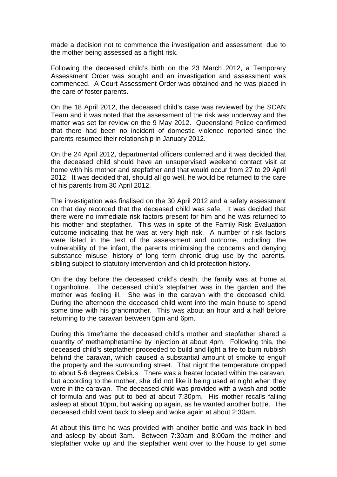made a decision not to commence the investigation and assessment, due to the mother being assessed as a flight risk.

Following the deceased child's birth on the 23 March 2012, a Temporary Assessment Order was sought and an investigation and assessment was commenced. A Court Assessment Order was obtained and he was placed in the care of foster parents.

On the 18 April 2012, the deceased child's case was reviewed by the SCAN Team and it was noted that the assessment of the risk was underway and the matter was set for review on the 9 May 2012. Queensland Police confirmed that there had been no incident of domestic violence reported since the parents resumed their relationship in January 2012.

On the 24 April 2012, departmental officers conferred and it was decided that the deceased child should have an unsupervised weekend contact visit at home with his mother and stepfather and that would occur from 27 to 29 April 2012. It was decided that, should all go well, he would be returned to the care of his parents from 30 April 2012.

The investigation was finalised on the 30 April 2012 and a safety assessment on that day recorded that the deceased child was safe. It was decided that there were no immediate risk factors present for him and he was returned to his mother and stepfather. This was in spite of the Family Risk Evaluation outcome indicating that he was at very high risk. A number of risk factors were listed in the text of the assessment and outcome, including: the vulnerability of the infant, the parents minimising the concerns and denying substance misuse, history of long term chronic drug use by the parents, sibling subject to statutory intervention and child protection history.

On the day before the deceased child's death, the family was at home at Loganholme. The deceased child's stepfather was in the garden and the mother was feeling ill. She was in the caravan with the deceased child. During the afternoon the deceased child went into the main house to spend some time with his grandmother. This was about an hour and a half before returning to the caravan between 5pm and 6pm.

During this timeframe the deceased child's mother and stepfather shared a quantity of methamphetamine by injection at about 4pm. Following this, the deceased child's stepfather proceeded to build and light a fire to burn rubbish behind the caravan, which caused a substantial amount of smoke to engulf the property and the surrounding street. That night the temperature dropped to about 5-6 degrees Celsius. There was a heater located within the caravan, but according to the mother, she did not like it being used at night when they were in the caravan. The deceased child was provided with a wash and bottle of formula and was put to bed at about 7:30pm. His mother recalls falling asleep at about 10pm, but waking up again, as he wanted another bottle. The deceased child went back to sleep and woke again at about 2:30am.

At about this time he was provided with another bottle and was back in bed and asleep by about 3am. Between 7:30am and 8:00am the mother and stepfather woke up and the stepfather went over to the house to get some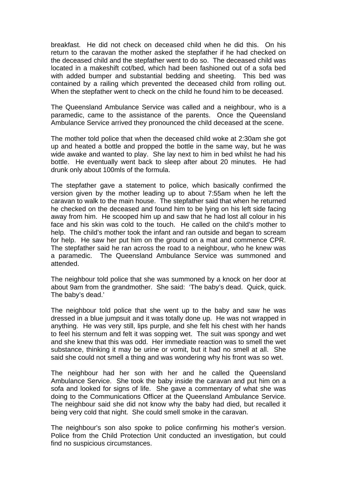breakfast. He did not check on deceased child when he did this. On his return to the caravan the mother asked the stepfather if he had checked on the deceased child and the stepfather went to do so. The deceased child was located in a makeshift cot/bed, which had been fashioned out of a sofa bed with added bumper and substantial bedding and sheeting. This bed was contained by a railing which prevented the deceased child from rolling out. When the stepfather went to check on the child he found him to be deceased.

The Queensland Ambulance Service was called and a neighbour, who is a paramedic, came to the assistance of the parents. Once the Queensland Ambulance Service arrived they pronounced the child deceased at the scene.

The mother told police that when the deceased child woke at 2:30am she got up and heated a bottle and propped the bottle in the same way, but he was wide awake and wanted to play. She lay next to him in bed whilst he had his bottle. He eventually went back to sleep after about 20 minutes. He had drunk only about 100mls of the formula.

The stepfather gave a statement to police, which basically confirmed the version given by the mother leading up to about 7:55am when he left the caravan to walk to the main house. The stepfather said that when he returned he checked on the deceased and found him to be lying on his left side facing away from him. He scooped him up and saw that he had lost all colour in his face and his skin was cold to the touch. He called on the child's mother to help. The child's mother took the infant and ran outside and began to scream for help. He saw her put him on the ground on a mat and commence CPR. The stepfather said he ran across the road to a neighbour, who he knew was a paramedic. The Queensland Ambulance Service was summoned and attended.

The neighbour told police that she was summoned by a knock on her door at about 9am from the grandmother. She said: 'The baby's dead. Quick, quick. The baby's dead.'

The neighbour told police that she went up to the baby and saw he was dressed in a blue jumpsuit and it was totally done up. He was not wrapped in anything. He was very still, lips purple, and she felt his chest with her hands to feel his sternum and felt it was sopping wet. The suit was spongy and wet and she knew that this was odd. Her immediate reaction was to smell the wet substance, thinking it may be urine or vomit, but it had no smell at all. She said she could not smell a thing and was wondering why his front was so wet.

The neighbour had her son with her and he called the Queensland Ambulance Service. She took the baby inside the caravan and put him on a sofa and looked for signs of life. She gave a commentary of what she was doing to the Communications Officer at the Queensland Ambulance Service. The neighbour said she did not know why the baby had died, but recalled it being very cold that night. She could smell smoke in the caravan.

The neighbour's son also spoke to police confirming his mother's version. Police from the Child Protection Unit conducted an investigation, but could find no suspicious circumstances.